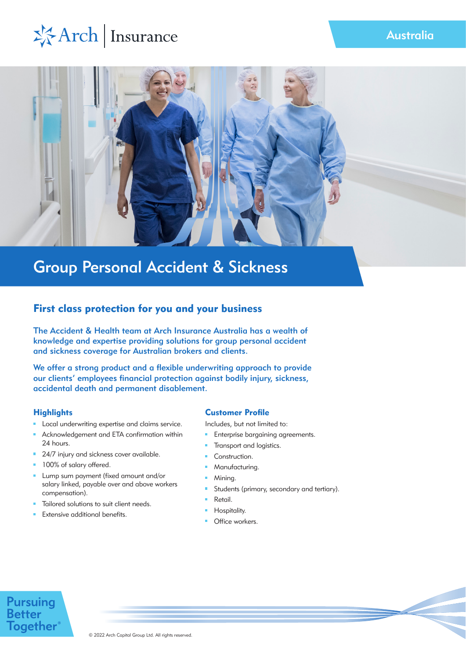# \*Arch | Insurance



## Group Personal Accident & Sickness

## First class protection for you and your business

The Accident & Health team at Arch Insurance Australia has a wealth of knowledge and expertise providing solutions for group personal accident and sickness coverage for Australian brokers and clients.

We offer a strong product and a flexible underwriting approach to provide our clients' employees financial protection against bodily injury, sickness, accidental death and permanent disablement.

## **Highlights**

- Local underwriting expertise and claims service.
- Acknowledgement and ETA confirmation within 24 hours.
- <sup>24/7</sup> injury and sickness cover available.
- **100% of salary offered.**
- **Lump sum payment (fixed amount and/or** salary linked, payable over and above workers compensation).
- Tailored solutions to suit client needs.
- Extensive additional benefits.

## Customer Profile

Includes, but not limited to:

- **Enterprise bargaining agreements.**
- Transport and logistics.  $\mathbf{u}$
- **Construction.**
- Manufacturing. m.
- Mining.
- Students (primary, secondary and tertiary). m.
- Retail.
- Hospitality.
- **Office workers.**